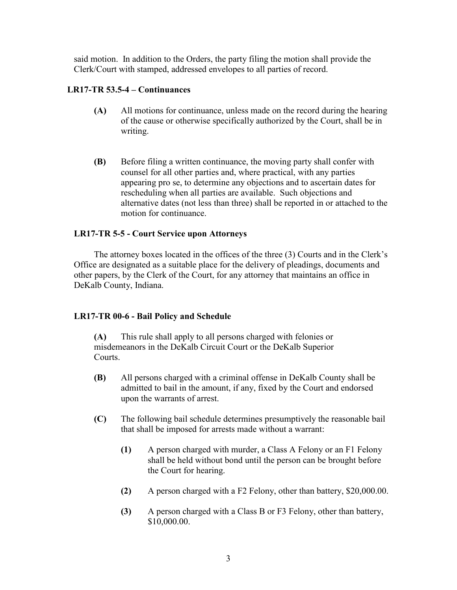said motion. In addition to the Orders, the party filing the motion shall provide the Clerk/Court with stamped, addressed envelopes to all parties of record.

## **LR17-TR 53.5-4 – Continuances**

- **(A)** All motions for continuance, unless made on the record during the hearing of the cause or otherwise specifically authorized by the Court, shall be in writing.
- **(B)** Before filing a written continuance, the moving party shall confer with counsel for all other parties and, where practical, with any parties appearing pro se, to determine any objections and to ascertain dates for rescheduling when all parties are available. Such objections and alternative dates (not less than three) shall be reported in or attached to the motion for continuance.

## **LR17-TR 5-5 - Court Service upon Attorneys**

The attorney boxes located in the offices of the three (3) Courts and in the Clerk's Office are designated as a suitable place for the delivery of pleadings, documents and other papers, by the Clerk of the Court, for any attorney that maintains an office in DeKalb County, Indiana.

## **LR17-TR 00-6 - Bail Policy and Schedule**

**(A)** This rule shall apply to all persons charged with felonies or misdemeanors in the DeKalb Circuit Court or the DeKalb Superior Courts.

- **(B)** All persons charged with a criminal offense in DeKalb County shall be admitted to bail in the amount, if any, fixed by the Court and endorsed upon the warrants of arrest.
- **(C)** The following bail schedule determines presumptively the reasonable bail that shall be imposed for arrests made without a warrant:
	- **(1)** A person charged with murder, a Class A Felony or an F1 Felony shall be held without bond until the person can be brought before the Court for hearing.
	- **(2)** A person charged with a F2 Felony, other than battery, \$20,000.00.
	- **(3)** A person charged with a Class B or F3 Felony, other than battery, \$10,000.00.